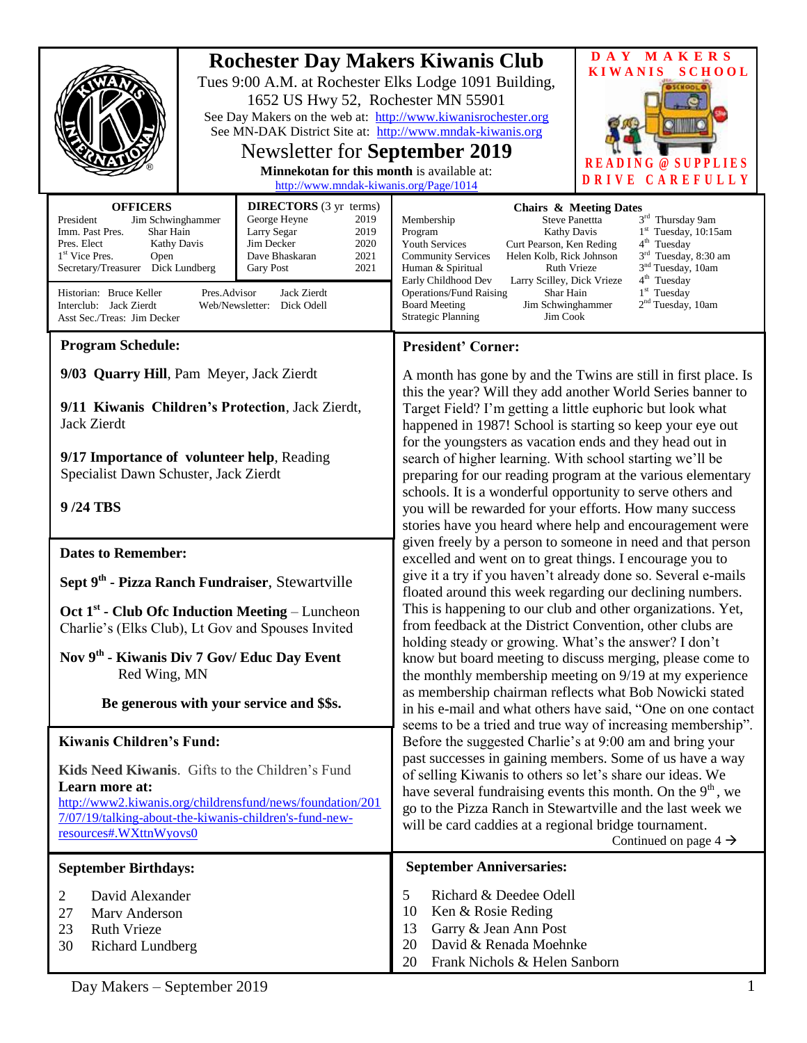|                                                                                                                                                                                                                                                                                                                                                                                                                                                                                                                   |  | 1652 US Hwy 52, Rochester MN 55901<br>See MN-DAK District Site at: http://www.mndak-kiwanis.org<br><b>Newsletter for September 2019</b><br>Minnekotan for this month is available at:<br>http://www.mndak-kiwanis.org/Page/1014                                                                                                                                                                                                                                                                                                                                                                                                                                        | <b>Rochester Day Makers Kiwanis Club</b><br>Tues 9:00 A.M. at Rochester Elks Lodge 1091 Building,<br>See Day Makers on the web at: http://www.kiwanisrochester.org                                                                                                                                                                                                                                                                                                                                                                                                                                                                                                                                                                                                                                                                                                                                                                                                                                                                                                                                                                                                                                                                                                                                                                                                                                                                                                                                                                                                                                                                                                                                                                                                                                                    | DAY MAKERS<br><b>KIWANIS</b><br><b>SCHOOL</b><br><b>PLIES</b><br>ω<br><b>DRIVE</b><br>CAREFULLY |
|-------------------------------------------------------------------------------------------------------------------------------------------------------------------------------------------------------------------------------------------------------------------------------------------------------------------------------------------------------------------------------------------------------------------------------------------------------------------------------------------------------------------|--|------------------------------------------------------------------------------------------------------------------------------------------------------------------------------------------------------------------------------------------------------------------------------------------------------------------------------------------------------------------------------------------------------------------------------------------------------------------------------------------------------------------------------------------------------------------------------------------------------------------------------------------------------------------------|-----------------------------------------------------------------------------------------------------------------------------------------------------------------------------------------------------------------------------------------------------------------------------------------------------------------------------------------------------------------------------------------------------------------------------------------------------------------------------------------------------------------------------------------------------------------------------------------------------------------------------------------------------------------------------------------------------------------------------------------------------------------------------------------------------------------------------------------------------------------------------------------------------------------------------------------------------------------------------------------------------------------------------------------------------------------------------------------------------------------------------------------------------------------------------------------------------------------------------------------------------------------------------------------------------------------------------------------------------------------------------------------------------------------------------------------------------------------------------------------------------------------------------------------------------------------------------------------------------------------------------------------------------------------------------------------------------------------------------------------------------------------------------------------------------------------------|-------------------------------------------------------------------------------------------------|
| <b>OFFICERS</b><br><b>DIRECTORS</b> (3 yr terms)<br>President<br>Jim Schwinghammer<br>George Heyne<br>2019<br>Larry Segar<br>2019<br>Imm. Past Pres.<br>Shar Hain<br>Pres. Elect<br><b>Kathy Davis</b><br>Jim Decker<br>2020<br>1 <sup>st</sup> Vice Pres.<br>Dave Bhaskaran<br>2021<br>Open<br>2021<br>Dick Lundberg<br><b>Gary Post</b><br>Secretary/Treasurer<br>Historian: Bruce Keller<br>Jack Zierdt<br>Pres.Advisor<br>Interclub: Jack Zierdt<br>Web/Newsletter: Dick Odell<br>Asst Sec./Treas: Jim Decker |  | <b>Chairs &amp; Meeting Dates</b><br>3rd Thursday 9am<br><b>Steve Panettta</b><br>Membership<br>$1st$ Tuesday, 10:15am<br>Program<br>Kathy Davis<br>$4th$ Tuesday<br><b>Youth Services</b><br>Curt Pearson, Ken Reding<br>3 <sup>rd</sup> Tuesday, 8:30 am<br>Helen Kolb, Rick Johnson<br><b>Community Services</b><br>3 <sup>nd</sup> Tuesday, 10am<br>Human & Spiritual<br><b>Ruth Vrieze</b><br>4 <sup>th</sup> Tuesday<br>Early Childhood Dev<br>Larry Scilley, Dick Vrieze<br>$1st$ Tuesday<br><b>Operations/Fund Raising</b><br>Shar Hain<br>2 <sup>nd</sup> Tuesday, 10am<br>Jim Schwinghammer<br><b>Board Meeting</b><br>Jim Cook<br><b>Strategic Planning</b> |                                                                                                                                                                                                                                                                                                                                                                                                                                                                                                                                                                                                                                                                                                                                                                                                                                                                                                                                                                                                                                                                                                                                                                                                                                                                                                                                                                                                                                                                                                                                                                                                                                                                                                                                                                                                                       |                                                                                                 |
| <b>Program Schedule:</b>                                                                                                                                                                                                                                                                                                                                                                                                                                                                                          |  |                                                                                                                                                                                                                                                                                                                                                                                                                                                                                                                                                                                                                                                                        | <b>President' Corner:</b>                                                                                                                                                                                                                                                                                                                                                                                                                                                                                                                                                                                                                                                                                                                                                                                                                                                                                                                                                                                                                                                                                                                                                                                                                                                                                                                                                                                                                                                                                                                                                                                                                                                                                                                                                                                             |                                                                                                 |
| 9/03 Quarry Hill, Pam Meyer, Jack Zierdt<br>9/11 Kiwanis Children's Protection, Jack Zierdt,<br><b>Jack Zierdt</b><br>9/17 Importance of volunteer help, Reading<br>Specialist Dawn Schuster, Jack Zierdt<br>9/24 TBS                                                                                                                                                                                                                                                                                             |  |                                                                                                                                                                                                                                                                                                                                                                                                                                                                                                                                                                                                                                                                        | A month has gone by and the Twins are still in first place. Is<br>this the year? Will they add another World Series banner to<br>Target Field? I'm getting a little euphoric but look what<br>happened in 1987! School is starting so keep your eye out<br>for the youngsters as vacation ends and they head out in<br>search of higher learning. With school starting we'll be<br>preparing for our reading program at the various elementary<br>schools. It is a wonderful opportunity to serve others and<br>you will be rewarded for your efforts. How many success<br>stories have you heard where help and encouragement were<br>given freely by a person to someone in need and that person<br>excelled and went on to great things. I encourage you to<br>give it a try if you haven't already done so. Several e-mails<br>floated around this week regarding our declining numbers.<br>This is happening to our club and other organizations. Yet,<br>from feedback at the District Convention, other clubs are<br>holding steady or growing. What's the answer? I don't<br>know but board meeting to discuss merging, please come to<br>the monthly membership meeting on 9/19 at my experience<br>as membership chairman reflects what Bob Nowicki stated<br>in his e-mail and what others have said, "One on one contact<br>seems to be a tried and true way of increasing membership".<br>Before the suggested Charlie's at 9:00 am and bring your<br>past successes in gaining members. Some of us have a way<br>of selling Kiwanis to others so let's share our ideas. We<br>have several fundraising events this month. On the $9th$ , we<br>go to the Pizza Ranch in Stewartville and the last week we<br>will be card caddies at a regional bridge tournament.<br>Continued on page $4 \rightarrow$ |                                                                                                 |
| <b>Dates to Remember:</b>                                                                                                                                                                                                                                                                                                                                                                                                                                                                                         |  |                                                                                                                                                                                                                                                                                                                                                                                                                                                                                                                                                                                                                                                                        |                                                                                                                                                                                                                                                                                                                                                                                                                                                                                                                                                                                                                                                                                                                                                                                                                                                                                                                                                                                                                                                                                                                                                                                                                                                                                                                                                                                                                                                                                                                                                                                                                                                                                                                                                                                                                       |                                                                                                 |
| Sept 9 <sup>th</sup> - Pizza Ranch Fundraiser, Stewartville                                                                                                                                                                                                                                                                                                                                                                                                                                                       |  |                                                                                                                                                                                                                                                                                                                                                                                                                                                                                                                                                                                                                                                                        |                                                                                                                                                                                                                                                                                                                                                                                                                                                                                                                                                                                                                                                                                                                                                                                                                                                                                                                                                                                                                                                                                                                                                                                                                                                                                                                                                                                                                                                                                                                                                                                                                                                                                                                                                                                                                       |                                                                                                 |
| Oct $1st$ - Club Ofc Induction Meeting – Luncheon<br>Charlie's (Elks Club), Lt Gov and Spouses Invited                                                                                                                                                                                                                                                                                                                                                                                                            |  |                                                                                                                                                                                                                                                                                                                                                                                                                                                                                                                                                                                                                                                                        |                                                                                                                                                                                                                                                                                                                                                                                                                                                                                                                                                                                                                                                                                                                                                                                                                                                                                                                                                                                                                                                                                                                                                                                                                                                                                                                                                                                                                                                                                                                                                                                                                                                                                                                                                                                                                       |                                                                                                 |
| Nov 9th - Kiwanis Div 7 Gov/ Educ Day Event<br>Red Wing, MN                                                                                                                                                                                                                                                                                                                                                                                                                                                       |  |                                                                                                                                                                                                                                                                                                                                                                                                                                                                                                                                                                                                                                                                        |                                                                                                                                                                                                                                                                                                                                                                                                                                                                                                                                                                                                                                                                                                                                                                                                                                                                                                                                                                                                                                                                                                                                                                                                                                                                                                                                                                                                                                                                                                                                                                                                                                                                                                                                                                                                                       |                                                                                                 |
| Be generous with your service and \$\$s.                                                                                                                                                                                                                                                                                                                                                                                                                                                                          |  |                                                                                                                                                                                                                                                                                                                                                                                                                                                                                                                                                                                                                                                                        |                                                                                                                                                                                                                                                                                                                                                                                                                                                                                                                                                                                                                                                                                                                                                                                                                                                                                                                                                                                                                                                                                                                                                                                                                                                                                                                                                                                                                                                                                                                                                                                                                                                                                                                                                                                                                       |                                                                                                 |
| <b>Kiwanis Children's Fund:</b>                                                                                                                                                                                                                                                                                                                                                                                                                                                                                   |  |                                                                                                                                                                                                                                                                                                                                                                                                                                                                                                                                                                                                                                                                        |                                                                                                                                                                                                                                                                                                                                                                                                                                                                                                                                                                                                                                                                                                                                                                                                                                                                                                                                                                                                                                                                                                                                                                                                                                                                                                                                                                                                                                                                                                                                                                                                                                                                                                                                                                                                                       |                                                                                                 |
| Kids Need Kiwanis. Gifts to the Children's Fund<br>Learn more at:<br>http://www2.kiwanis.org/childrensfund/news/foundation/201<br>7/07/19/talking-about-the-kiwanis-children's-fund-new-<br>resources#.WXttnWyovs0                                                                                                                                                                                                                                                                                                |  |                                                                                                                                                                                                                                                                                                                                                                                                                                                                                                                                                                                                                                                                        |                                                                                                                                                                                                                                                                                                                                                                                                                                                                                                                                                                                                                                                                                                                                                                                                                                                                                                                                                                                                                                                                                                                                                                                                                                                                                                                                                                                                                                                                                                                                                                                                                                                                                                                                                                                                                       |                                                                                                 |
| <b>September Birthdays:</b>                                                                                                                                                                                                                                                                                                                                                                                                                                                                                       |  |                                                                                                                                                                                                                                                                                                                                                                                                                                                                                                                                                                                                                                                                        | <b>September Anniversaries:</b>                                                                                                                                                                                                                                                                                                                                                                                                                                                                                                                                                                                                                                                                                                                                                                                                                                                                                                                                                                                                                                                                                                                                                                                                                                                                                                                                                                                                                                                                                                                                                                                                                                                                                                                                                                                       |                                                                                                 |
| David Alexander<br>2<br>Marv Anderson<br>27<br>23<br><b>Ruth Vrieze</b><br>30<br><b>Richard Lundberg</b>                                                                                                                                                                                                                                                                                                                                                                                                          |  |                                                                                                                                                                                                                                                                                                                                                                                                                                                                                                                                                                                                                                                                        | 5<br>Richard & Deedee Odell<br>10<br>Ken & Rosie Reding<br>Garry & Jean Ann Post<br>13<br>David & Renada Moehnke<br>20<br>Frank Nichols & Helen Sanborn<br>20                                                                                                                                                                                                                                                                                                                                                                                                                                                                                                                                                                                                                                                                                                                                                                                                                                                                                                                                                                                                                                                                                                                                                                                                                                                                                                                                                                                                                                                                                                                                                                                                                                                         |                                                                                                 |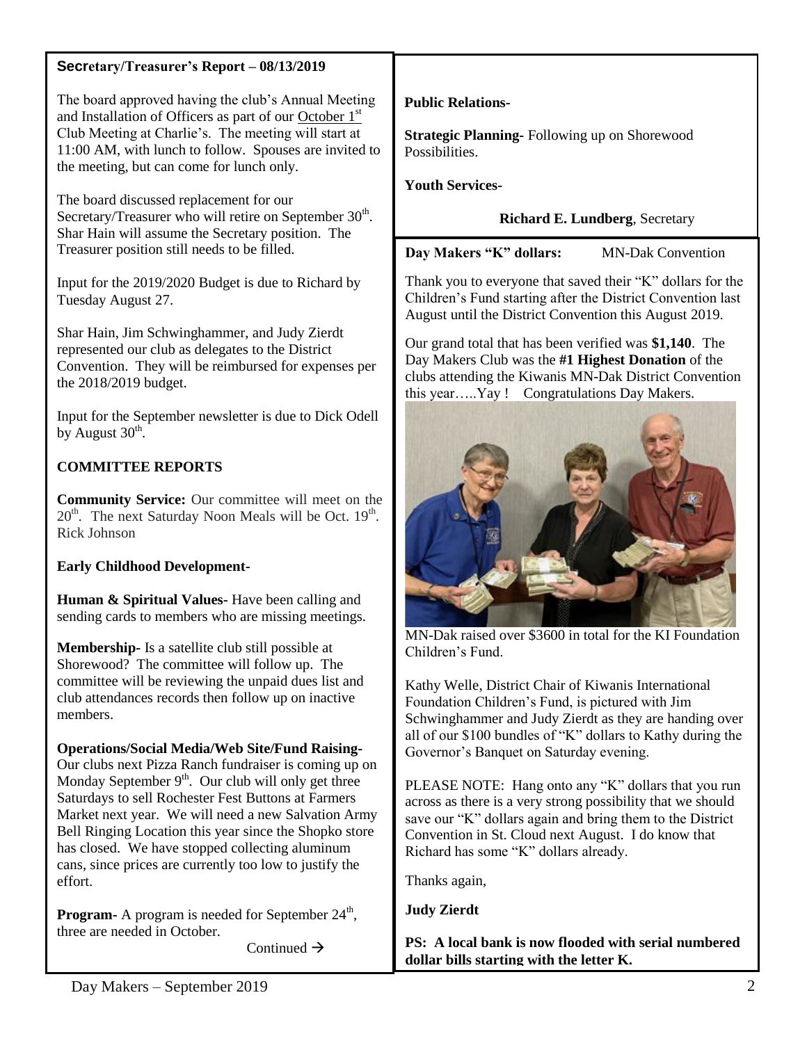### **Secretary/Treasurer's Report – 08/13/2019**

The board approved having the club's Annual Meeting and Installation of Officers as part of our October 1<sup>st</sup> Club Meeting at Charlie's. The meeting will start at 11:00 AM, with lunch to follow. Spouses are invited to the meeting, but can come for lunch only.

The board discussed replacement for our Secretary/Treasurer who will retire on September  $30<sup>th</sup>$ . Shar Hain will assume the Secretary position. The Treasurer position still needs to be filled.

Input for the 2019/2020 Budget is due to Richard by Tuesday August 27.

Shar Hain, Jim Schwinghammer, and Judy Zierdt represented our club as delegates to the District Convention. They will be reimbursed for expenses per the 2018/2019 budget.

Input for the September newsletter is due to Dick Odell by August  $30^{\text{th}}$ .

# **COMMITTEE REPORTS**

**Community Service:** Our committee will meet on the  $20<sup>th</sup>$ . The next Saturday Noon Meals will be Oct.  $19<sup>th</sup>$ . Rick Johnson

# **Early Childhood Development-**

**Human & Spiritual Values-** Have been calling and sending cards to members who are missing meetings.

**Membership-** Is a satellite club still possible at Shorewood? The committee will follow up. The committee will be reviewing the unpaid dues list and club attendances records then follow up on inactive members.

## **Operations/Social Media/Web Site/Fund Raising-**

Our clubs next Pizza Ranch fundraiser is coming up on Monday September  $9<sup>th</sup>$ . Our club will only get three Saturdays to sell Rochester Fest Buttons at Farmers Market next year. We will need a new Salvation Army Bell Ringing Location this year since the Shopko store has closed. We have stopped collecting aluminum cans, since prices are currently too low to justify the effort.

**Program-** A program is needed for September  $24^{\text{th}}$ , three are needed in October.

Continued  $\rightarrow$ 

**Public Relations-**

**Strategic Planning-** Following up on Shorewood Possibilities.

**Youth Services-**

**Richard E. Lundberg**, Secretary

**Day Makers "K" dollars:** MN-Dak Convention

Thank you to everyone that saved their "K" dollars for the Children's Fund starting after the District Convention last August until the District Convention this August 2019.

Our grand total that has been verified was **\$1,140**. The Day Makers Club was the **#1 Highest Donation** of the clubs attending the Kiwanis MN-Dak District Convention this year…..Yay ! Congratulations Day Makers.



MN-Dak raised over \$3600 in total for the KI Foundation Children's Fund.

Kathy Welle, District Chair of Kiwanis International Foundation Children's Fund, is pictured with Jim Schwinghammer and Judy Zierdt as they are handing over all of our \$100 bundles of "K" dollars to Kathy during the Governor's Banquet on Saturday evening.

PLEASE NOTE: Hang onto any "K" dollars that you run across as there is a very strong possibility that we should save our "K" dollars again and bring them to the District Convention in St. Cloud next August. I do know that Richard has some "K" dollars already.

Thanks again,

**Judy Zierdt**

**PS: A local bank is now flooded with serial numbered dollar bills starting with the letter K.**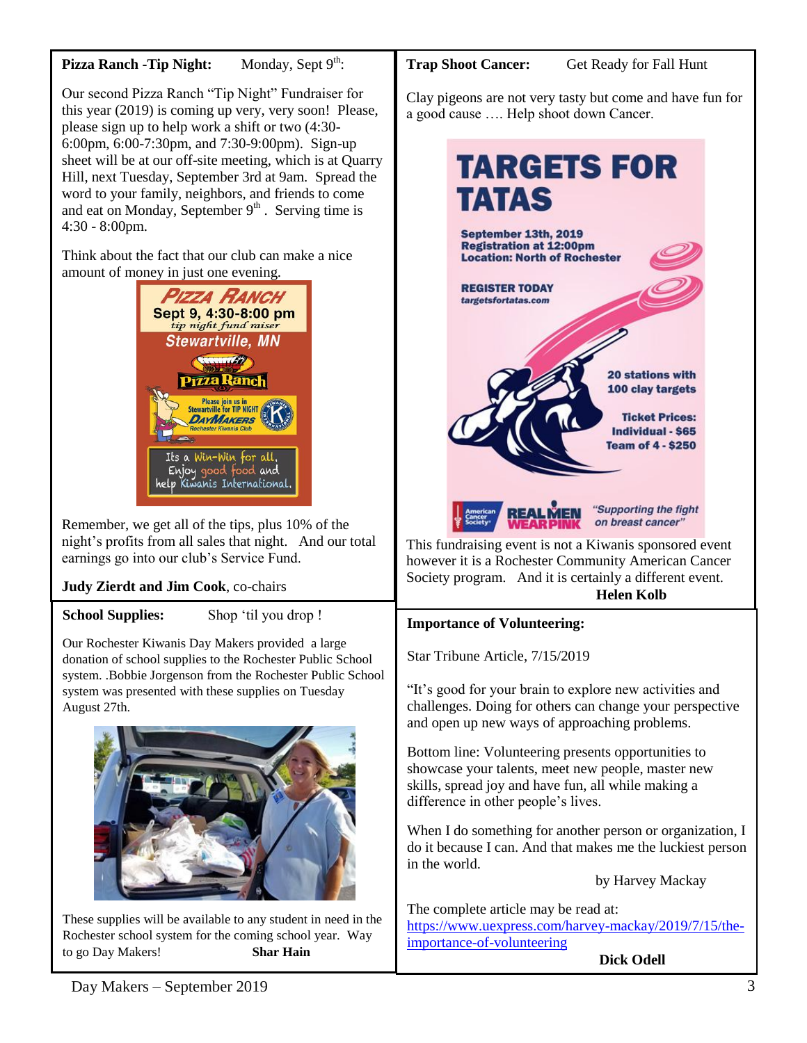### **Pizza Ranch -Tip Night:** Monday, Sept 9<sup>th</sup>:

Our second Pizza Ranch "Tip Night" Fundraiser for this year (2019) is coming up very, very soon! Please, please sign up to help work a shift or two (4:30- 6:00pm, 6:00-7:30pm, and 7:30-9:00pm). Sign-up sheet will be at our off-site meeting, which is at Quarry Hill, next Tuesday, September 3rd at 9am. Spread the word to your family, neighbors, and friends to come and eat on Monday, September  $9<sup>th</sup>$ . Serving time is 4:30 - 8:00pm.

Think about the fact that our club can make a nice amount of money in just one evening.



Remember, we get all of the tips, plus 10% of the night's profits from all sales that night. And our total earnings go into our club's Service Fund.

# **Judy Zierdt and Jim Cook**, co-chairs

## School Supplies: Shop 'til you drop !

Our Rochester Kiwanis Day Makers provided a large donation of school supplies to the Rochester Public School system. .Bobbie Jorgenson from the Rochester Public School system was presented with these supplies on Tuesday August 27th.



These supplies will be available to any student in need in the Rochester school system for the coming school year. Way to go Day Makers! **Shar Hain**

Trap Shoot Cancer: Get Ready for Fall Hunt

Clay pigeons are not very tasty but come and have fun for a good cause …. Help shoot down Cancer.